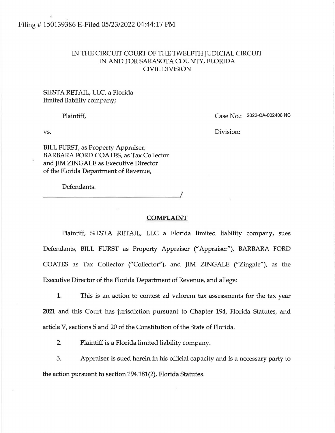## IN THE CIRCUIT COURT OF THE TWELFTH JUDICIAL CIRCUIT IN AND FOR SARASOTA COUNTY, FLORIDA CIVIL DIVISION

## SIESTA RETAIL, LLC, a Florida limited liability company;

Plaintiff,

Case No.: 2022-CA-002408 NC

vs.

Division:

BILL FURST, as Property Appraiser; BARBARA FORD COATES, as Tax Collector and JIM ZINGALE as Executive Director of the Florida Department of Revenue,

Defendants.

## **COMPLAINT**

Plaintiff, SIESTA RETAIL, LLC a Florida limited liability company, sues Defendants, BILL FURST as Property Appraiser ("Appraiser"), BARBARA FORD COATES as Tax Collector ("Collector"), and JIM ZINGALE ("Zingale"), as the Executive Director of the Florida Department of Revenue, and allege:

1. This is an action to contest ad valorem tax assessments for the tax year **2021** and this Court has jurisdiction pursuant to Chapter 194, Florida Statutes, and article V, sections 5 and 20 of the Constitution of the State of Florida.

2. Plaintiff is a Florida limited liability company.

3. Appraiser is sued herein in his official capacity and is a necessary party to the action pursuant to section 194.181(2), Florida Statutes.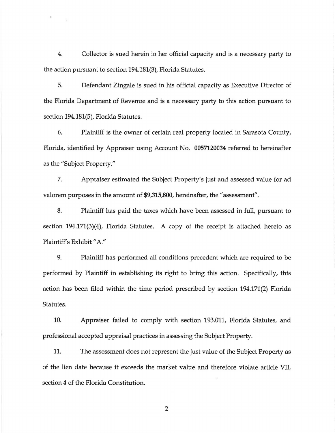4. Collector is sued herein in her official capacity and is a necessary party to the action pursuant to section 194.181(3), Florida Statutes.

5. Defendant Zingale is sued in his official capacity as Executive Director of the Florida Department of Revenue and is a necessary party to this action pursuant to section 194.181(5), Florida Statutes.

6. Plaintiff is the owner of certain real property located in Sarasota County, Florida, identified by Appraiser using Account No. **0057120034** referred to hereinafter as the "Subject Property."

7. Appraiser estimated the Subject Property's just and assessed value for ad valorem purposes in the amount of **\$9,315,800,** hereinafter, the "assessment".

8. Plaintiff has paid the taxes which have been assessed in full, pursuant to section 194.171(3)(4), Florida Statutes. A copy of the receipt is attached hereto as Plaintiff's Exhibit "A."

9. Plaintiff has performed all conditions precedent which are required to be performed by Plaintiff in establishing its right to bring this action. Specifically, this action has been filed within the time period prescribed by section 194.171(2) Florida Statutes.

10. Appraiser failed to comply with section 193.011, Florida Statutes, and professional accepted appraisal practices in assessing the Subject Property.

11. The assessment does not represent the just value of the Subject Property as of the lien date because it exceeds the market value and therefore violate article VII, section 4 of the Florida Constitution.

2